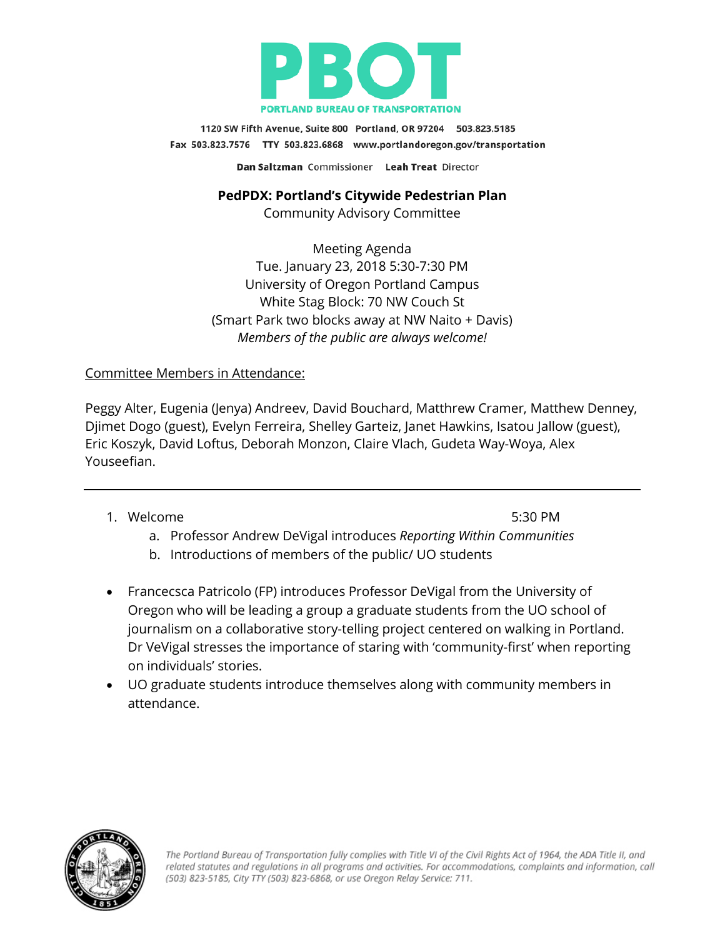

1120 SW Fifth Avenue, Suite 800 Portland, OR 97204 503.823.5185 Fax 503.823.7576 TTY 503.823.6868 www.portlandoregon.gov/transportation Dan Saltzman Commissioner Leah Treat Director

**PedPDX: Portland's Citywide Pedestrian Plan**

Community Advisory Committee

Meeting Agenda Tue. January 23, 2018 5:30-7:30 PM University of Oregon Portland Campus White Stag Block: 70 NW Couch St (Smart Park two blocks away at NW Naito + Davis) *Members of the public are always welcome!*

## Committee Members in Attendance:

Peggy Alter, Eugenia (Jenya) Andreev, David Bouchard, Matthrew Cramer, Matthew Denney, Djimet Dogo (guest), Evelyn Ferreira, Shelley Garteiz, Janet Hawkins, Isatou Jallow (guest), Eric Koszyk, David Loftus, Deborah Monzon, Claire Vlach, Gudeta Way-Woya, Alex Youseefian.

1. Welcome 5:30 PM

- a. Professor Andrew DeVigal introduces *Reporting Within Communities*
- b. Introductions of members of the public/ UO students
- Francecsca Patricolo (FP) introduces Professor DeVigal from the University of Oregon who will be leading a group a graduate students from the UO school of journalism on a collaborative story-telling project centered on walking in Portland. Dr VeVigal stresses the importance of staring with 'community-first' when reporting on individuals' stories.
- UO graduate students introduce themselves along with community members in attendance.

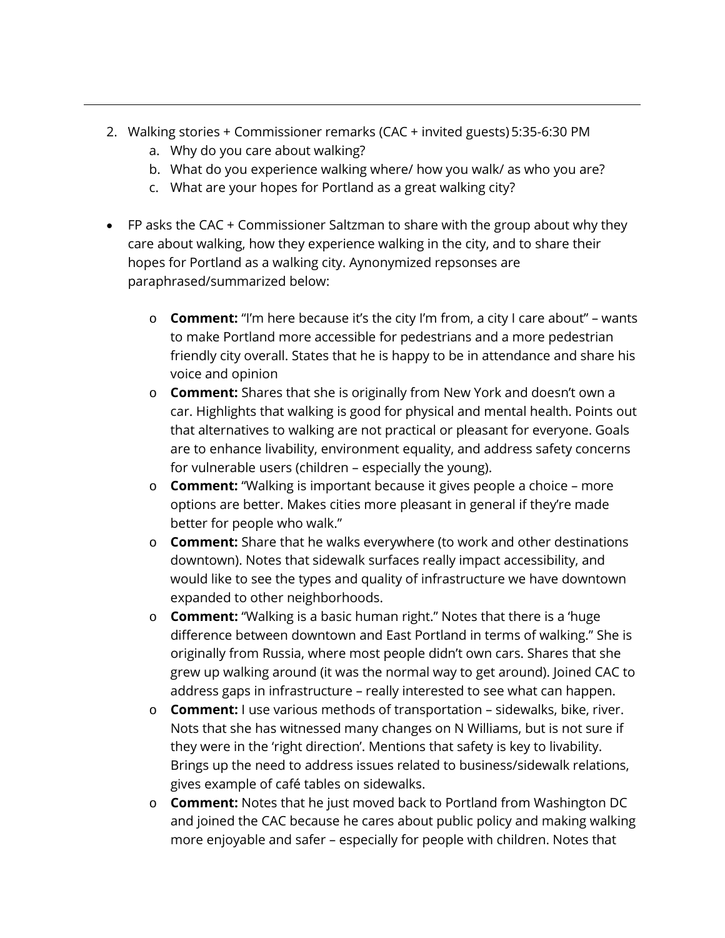- 2. Walking stories + Commissioner remarks (CAC + invited guests) 5:35-6:30 PM
	- a. Why do you care about walking?
	- b. What do you experience walking where/ how you walk/ as who you are?
	- c. What are your hopes for Portland as a great walking city?
- FP asks the CAC + Commissioner Saltzman to share with the group about why they care about walking, how they experience walking in the city, and to share their hopes for Portland as a walking city. Aynonymized repsonses are paraphrased/summarized below:
	- o **Comment:** "I'm here because it's the city I'm from, a city I care about" wants to make Portland more accessible for pedestrians and a more pedestrian friendly city overall. States that he is happy to be in attendance and share his voice and opinion
	- o **Comment:** Shares that she is originally from New York and doesn't own a car. Highlights that walking is good for physical and mental health. Points out that alternatives to walking are not practical or pleasant for everyone. Goals are to enhance livability, environment equality, and address safety concerns for vulnerable users (children – especially the young).
	- o **Comment:** "Walking is important because it gives people a choice more options are better. Makes cities more pleasant in general if they're made better for people who walk."
	- o **Comment:** Share that he walks everywhere (to work and other destinations downtown). Notes that sidewalk surfaces really impact accessibility, and would like to see the types and quality of infrastructure we have downtown expanded to other neighborhoods.
	- o **Comment:** "Walking is a basic human right." Notes that there is a 'huge difference between downtown and East Portland in terms of walking." She is originally from Russia, where most people didn't own cars. Shares that she grew up walking around (it was the normal way to get around). Joined CAC to address gaps in infrastructure – really interested to see what can happen.
	- o **Comment:** I use various methods of transportation sidewalks, bike, river. Nots that she has witnessed many changes on N Williams, but is not sure if they were in the 'right direction'. Mentions that safety is key to livability. Brings up the need to address issues related to business/sidewalk relations, gives example of café tables on sidewalks.
	- o **Comment:** Notes that he just moved back to Portland from Washington DC and joined the CAC because he cares about public policy and making walking more enjoyable and safer – especially for people with children. Notes that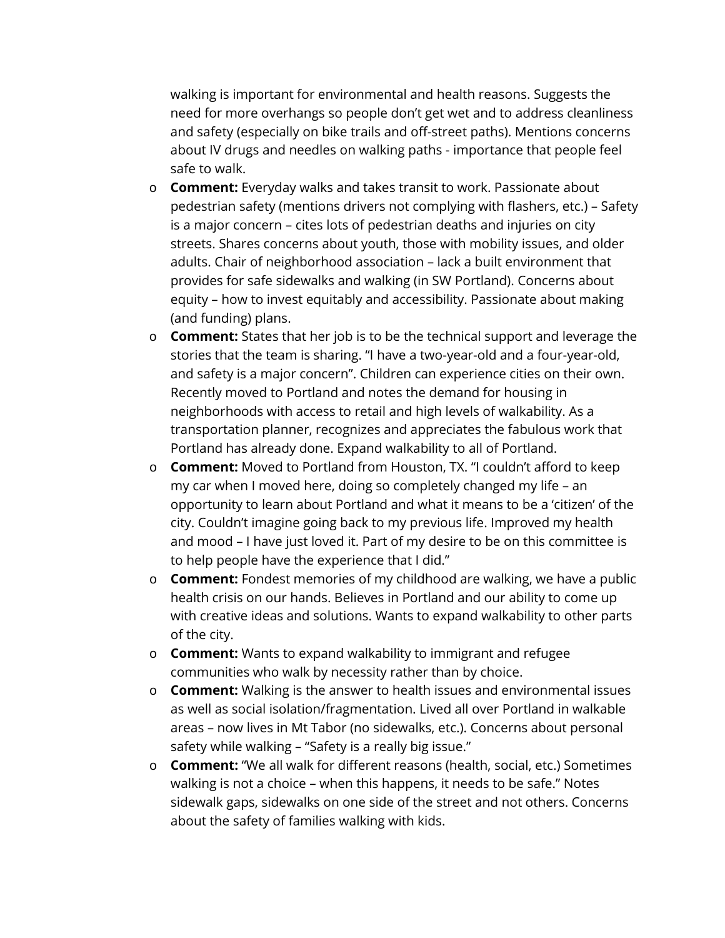walking is important for environmental and health reasons. Suggests the need for more overhangs so people don't get wet and to address cleanliness and safety (especially on bike trails and off-street paths). Mentions concerns about IV drugs and needles on walking paths - importance that people feel safe to walk.

- o **Comment:** Everyday walks and takes transit to work. Passionate about pedestrian safety (mentions drivers not complying with flashers, etc.) – Safety is a major concern – cites lots of pedestrian deaths and injuries on city streets. Shares concerns about youth, those with mobility issues, and older adults. Chair of neighborhood association – lack a built environment that provides for safe sidewalks and walking (in SW Portland). Concerns about equity – how to invest equitably and accessibility. Passionate about making (and funding) plans.
- o **Comment:** States that her job is to be the technical support and leverage the stories that the team is sharing. "I have a two-year-old and a four-year-old, and safety is a major concern". Children can experience cities on their own. Recently moved to Portland and notes the demand for housing in neighborhoods with access to retail and high levels of walkability. As a transportation planner, recognizes and appreciates the fabulous work that Portland has already done. Expand walkability to all of Portland.
- o **Comment:** Moved to Portland from Houston, TX. "I couldn't afford to keep my car when I moved here, doing so completely changed my life – an opportunity to learn about Portland and what it means to be a 'citizen' of the city. Couldn't imagine going back to my previous life. Improved my health and mood – I have just loved it. Part of my desire to be on this committee is to help people have the experience that I did."
- o **Comment:** Fondest memories of my childhood are walking, we have a public health crisis on our hands. Believes in Portland and our ability to come up with creative ideas and solutions. Wants to expand walkability to other parts of the city.
- o **Comment:** Wants to expand walkability to immigrant and refugee communities who walk by necessity rather than by choice.
- o **Comment:** Walking is the answer to health issues and environmental issues as well as social isolation/fragmentation. Lived all over Portland in walkable areas – now lives in Mt Tabor (no sidewalks, etc.). Concerns about personal safety while walking – "Safety is a really big issue."
- o **Comment:** "We all walk for different reasons (health, social, etc.) Sometimes walking is not a choice – when this happens, it needs to be safe." Notes sidewalk gaps, sidewalks on one side of the street and not others. Concerns about the safety of families walking with kids.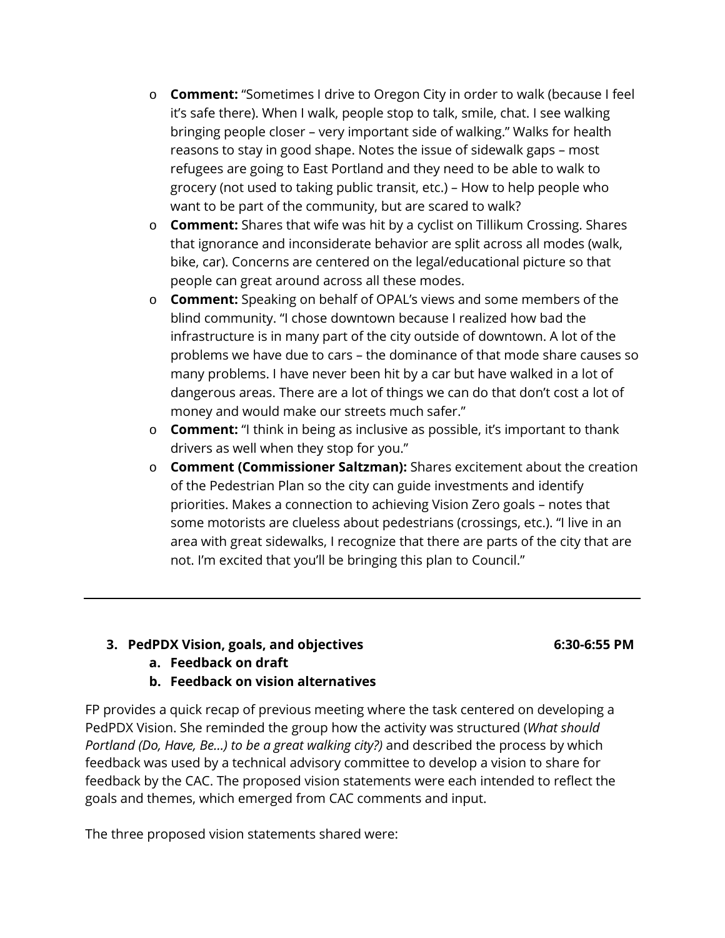- o **Comment:** "Sometimes I drive to Oregon City in order to walk (because I feel it's safe there). When I walk, people stop to talk, smile, chat. I see walking bringing people closer – very important side of walking." Walks for health reasons to stay in good shape. Notes the issue of sidewalk gaps – most refugees are going to East Portland and they need to be able to walk to grocery (not used to taking public transit, etc.) – How to help people who want to be part of the community, but are scared to walk?
- o **Comment:** Shares that wife was hit by a cyclist on Tillikum Crossing. Shares that ignorance and inconsiderate behavior are split across all modes (walk, bike, car). Concerns are centered on the legal/educational picture so that people can great around across all these modes.
- o **Comment:** Speaking on behalf of OPAL's views and some members of the blind community. "I chose downtown because I realized how bad the infrastructure is in many part of the city outside of downtown. A lot of the problems we have due to cars – the dominance of that mode share causes so many problems. I have never been hit by a car but have walked in a lot of dangerous areas. There are a lot of things we can do that don't cost a lot of money and would make our streets much safer."
- o **Comment:** "I think in being as inclusive as possible, it's important to thank drivers as well when they stop for you."
- o **Comment (Commissioner Saltzman):** Shares excitement about the creation of the Pedestrian Plan so the city can guide investments and identify priorities. Makes a connection to achieving Vision Zero goals – notes that some motorists are clueless about pedestrians (crossings, etc.). "I live in an area with great sidewalks, I recognize that there are parts of the city that are not. I'm excited that you'll be bringing this plan to Council."

## **3. PedPDX Vision, goals, and objectives 6:30-6:55 PM**

- **a. Feedback on draft**
- **b. Feedback on vision alternatives**

FP provides a quick recap of previous meeting where the task centered on developing a PedPDX Vision. She reminded the group how the activity was structured (*What should Portland (Do, Have, Be...) to be a great walking city?)* and described the process by which feedback was used by a technical advisory committee to develop a vision to share for feedback by the CAC. The proposed vision statements were each intended to reflect the goals and themes, which emerged from CAC comments and input.

The three proposed vision statements shared were: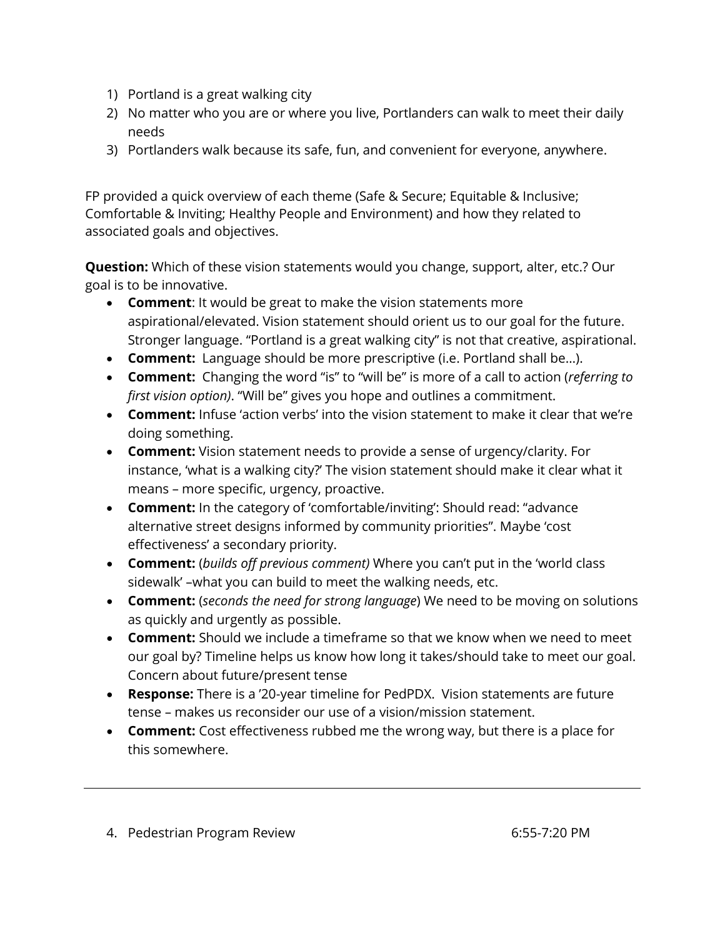- 1) Portland is a great walking city
- 2) No matter who you are or where you live, Portlanders can walk to meet their daily needs
- 3) Portlanders walk because its safe, fun, and convenient for everyone, anywhere.

FP provided a quick overview of each theme (Safe & Secure; Equitable & Inclusive; Comfortable & Inviting; Healthy People and Environment) and how they related to associated goals and objectives.

**Question:** Which of these vision statements would you change, support, alter, etc.? Our goal is to be innovative.

- **Comment**: It would be great to make the vision statements more aspirational/elevated. Vision statement should orient us to our goal for the future. Stronger language. "Portland is a great walking city" is not that creative, aspirational.
- **Comment:** Language should be more prescriptive (i.e. Portland shall be…).
- **Comment:** Changing the word "is" to "will be" is more of a call to action (*referring to first vision option)*. "Will be" gives you hope and outlines a commitment.
- **Comment:** Infuse 'action verbs' into the vision statement to make it clear that we're doing something.
- **Comment:** Vision statement needs to provide a sense of urgency/clarity. For instance, 'what is a walking city?' The vision statement should make it clear what it means – more specific, urgency, proactive.
- **Comment:** In the category of 'comfortable/inviting': Should read: "advance alternative street designs informed by community priorities". Maybe 'cost effectiveness' a secondary priority.
- **Comment:** (*builds off previous comment)* Where you can't put in the 'world class sidewalk' –what you can build to meet the walking needs, etc.
- **Comment:** (*seconds the need for strong language*) We need to be moving on solutions as quickly and urgently as possible.
- **Comment:** Should we include a timeframe so that we know when we need to meet our goal by? Timeline helps us know how long it takes/should take to meet our goal. Concern about future/present tense
- **Response:** There is a '20-year timeline for PedPDX. Vision statements are future tense – makes us reconsider our use of a vision/mission statement.
- **Comment:** Cost effectiveness rubbed me the wrong way, but there is a place for this somewhere.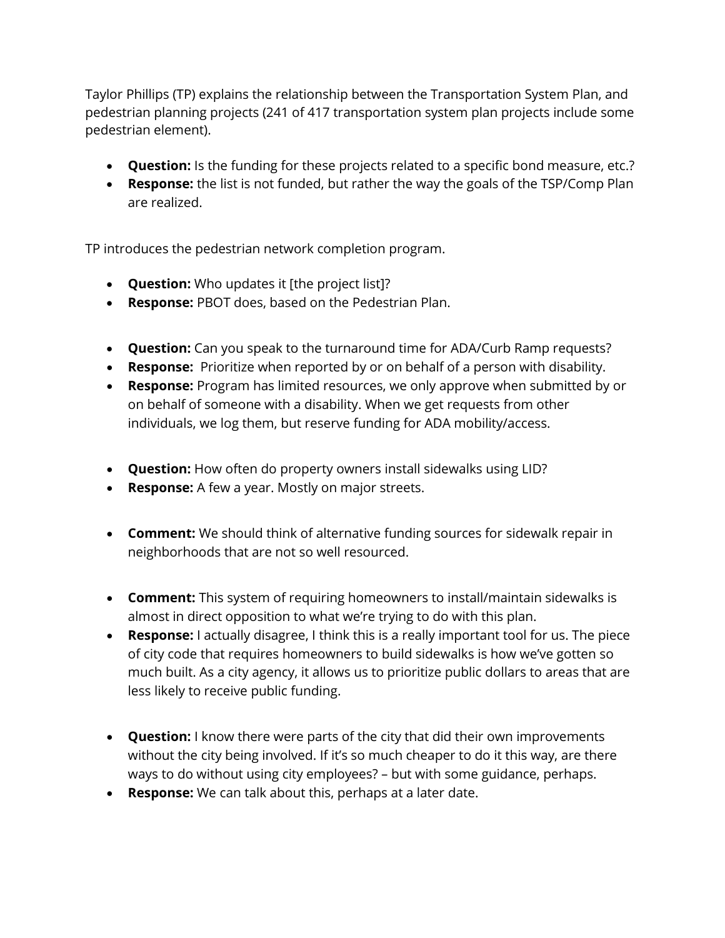Taylor Phillips (TP) explains the relationship between the Transportation System Plan, and pedestrian planning projects (241 of 417 transportation system plan projects include some pedestrian element).

- **Question:** Is the funding for these projects related to a specific bond measure, etc.?
- **Response:** the list is not funded, but rather the way the goals of the TSP/Comp Plan are realized.

TP introduces the pedestrian network completion program.

- **Question:** Who updates it [the project list]?
- **Response:** PBOT does, based on the Pedestrian Plan.
- **Question:** Can you speak to the turnaround time for ADA/Curb Ramp requests?
- **Response:** Prioritize when reported by or on behalf of a person with disability.
- **Response:** Program has limited resources, we only approve when submitted by or on behalf of someone with a disability. When we get requests from other individuals, we log them, but reserve funding for ADA mobility/access.
- **Question:** How often do property owners install sidewalks using LID?
- **Response:** A few a year. Mostly on major streets.
- **Comment:** We should think of alternative funding sources for sidewalk repair in neighborhoods that are not so well resourced.
- **Comment:** This system of requiring homeowners to install/maintain sidewalks is almost in direct opposition to what we're trying to do with this plan.
- **Response:** I actually disagree, I think this is a really important tool for us. The piece of city code that requires homeowners to build sidewalks is how we've gotten so much built. As a city agency, it allows us to prioritize public dollars to areas that are less likely to receive public funding.
- **Question:** I know there were parts of the city that did their own improvements without the city being involved. If it's so much cheaper to do it this way, are there ways to do without using city employees? – but with some guidance, perhaps.
- **Response:** We can talk about this, perhaps at a later date.